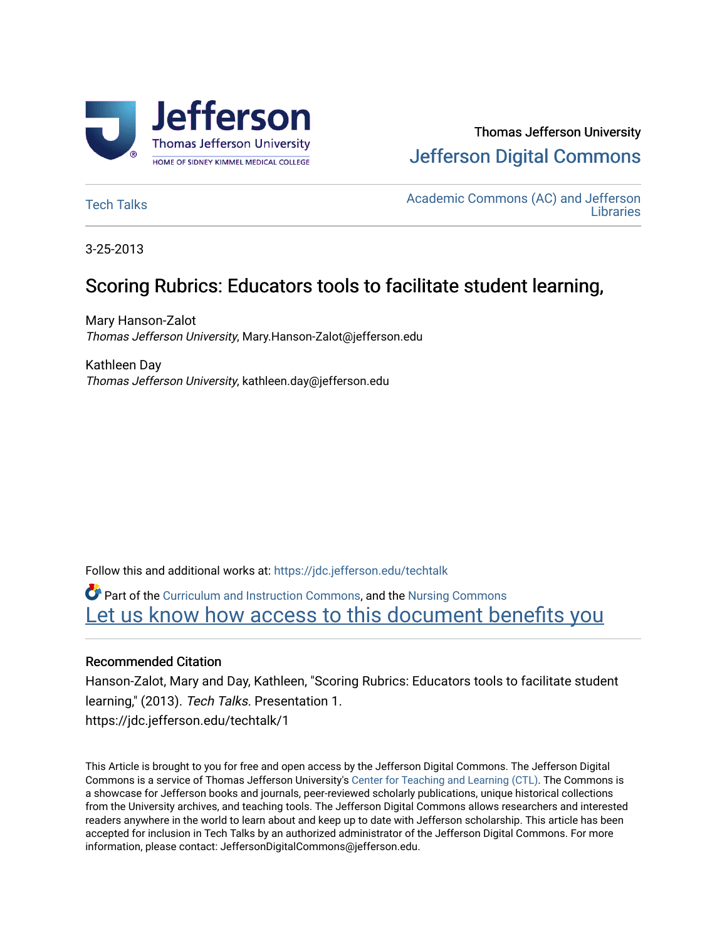

#### Thomas Jefferson University [Jefferson Digital Commons](https://jdc.jefferson.edu/)

[Tech Talks](https://jdc.jefferson.edu/techtalk) **Academic Commons (AC) and Jefferson Libraries** 

3-25-2013

#### Scoring Rubrics: Educators tools to facilitate student learning,

Mary Hanson-Zalot Thomas Jefferson University, Mary.Hanson-Zalot@jefferson.edu

Kathleen Day Thomas Jefferson University, kathleen.day@jefferson.edu

Follow this and additional works at: [https://jdc.jefferson.edu/techtalk](https://jdc.jefferson.edu/techtalk?utm_source=jdc.jefferson.edu%2Ftechtalk%2F1&utm_medium=PDF&utm_campaign=PDFCoverPages)

Part of the [Curriculum and Instruction Commons,](http://network.bepress.com/hgg/discipline/786?utm_source=jdc.jefferson.edu%2Ftechtalk%2F1&utm_medium=PDF&utm_campaign=PDFCoverPages) and the [Nursing Commons](http://network.bepress.com/hgg/discipline/718?utm_source=jdc.jefferson.edu%2Ftechtalk%2F1&utm_medium=PDF&utm_campaign=PDFCoverPages) Let us know how access to this document benefits you

#### Recommended Citation

Hanson-Zalot, Mary and Day, Kathleen, "Scoring Rubrics: Educators tools to facilitate student learning," (2013). Tech Talks. Presentation 1. https://jdc.jefferson.edu/techtalk/1

This Article is brought to you for free and open access by the Jefferson Digital Commons. The Jefferson Digital Commons is a service of Thomas Jefferson University's [Center for Teaching and Learning \(CTL\)](http://www.jefferson.edu/university/teaching-learning.html/). The Commons is a showcase for Jefferson books and journals, peer-reviewed scholarly publications, unique historical collections from the University archives, and teaching tools. The Jefferson Digital Commons allows researchers and interested readers anywhere in the world to learn about and keep up to date with Jefferson scholarship. This article has been accepted for inclusion in Tech Talks by an authorized administrator of the Jefferson Digital Commons. For more information, please contact: JeffersonDigitalCommons@jefferson.edu.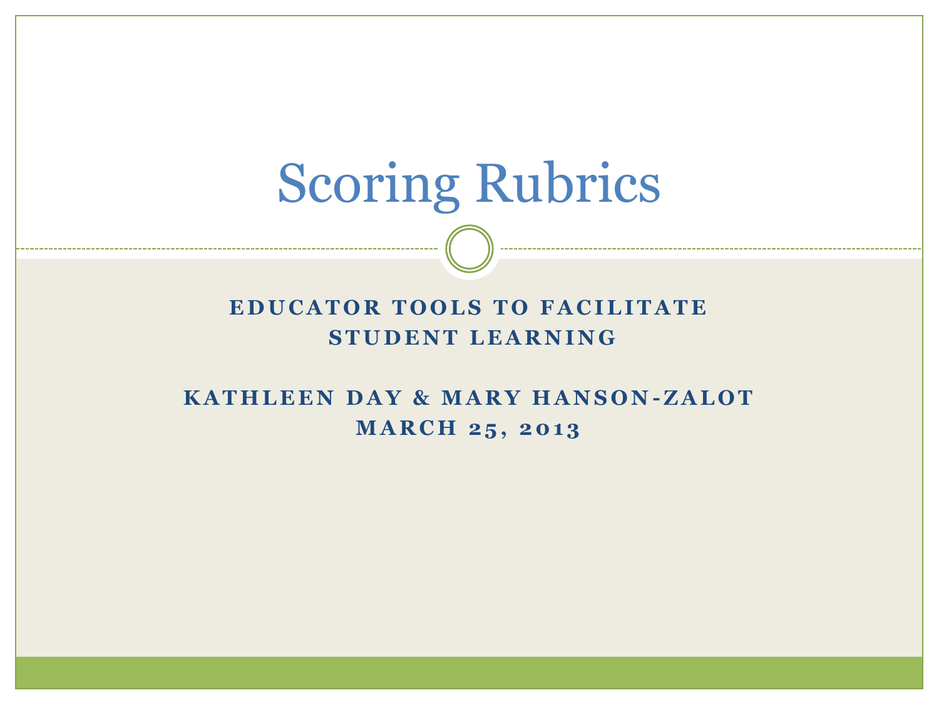# Scoring Rubrics

#### **EDUCATOR TOOLS TO FACILITATE S T U D E N T L E A R N I N G**

**K A T H L E E N D A Y & M A R Y H A N S O N -Z A L O T MARCH 25, 2013**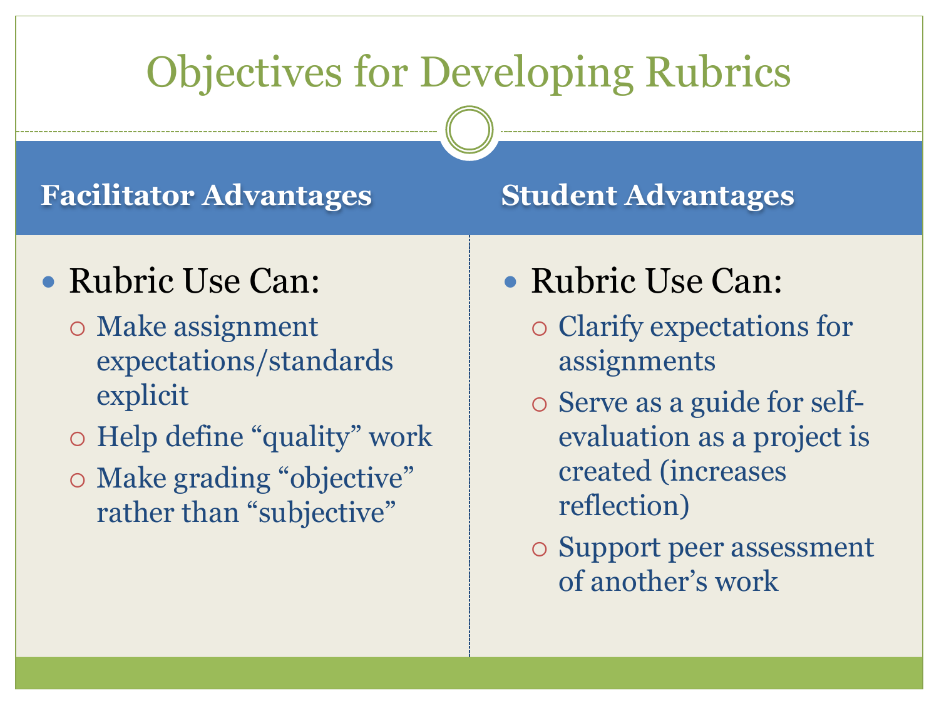# Objectives for Developing Rubrics

#### **Facilitator Advantages Student Advantages**

## Rubric Use Can:

- Make assignment expectations/standards explicit
- Help define "quality" work
- Make grading "objective" rather than "subjective"

- Rubric Use Can:
	- Clarify expectations for assignments
	- Serve as a guide for selfevaluation as a project is created (increases reflection)
	- Support peer assessment of another's work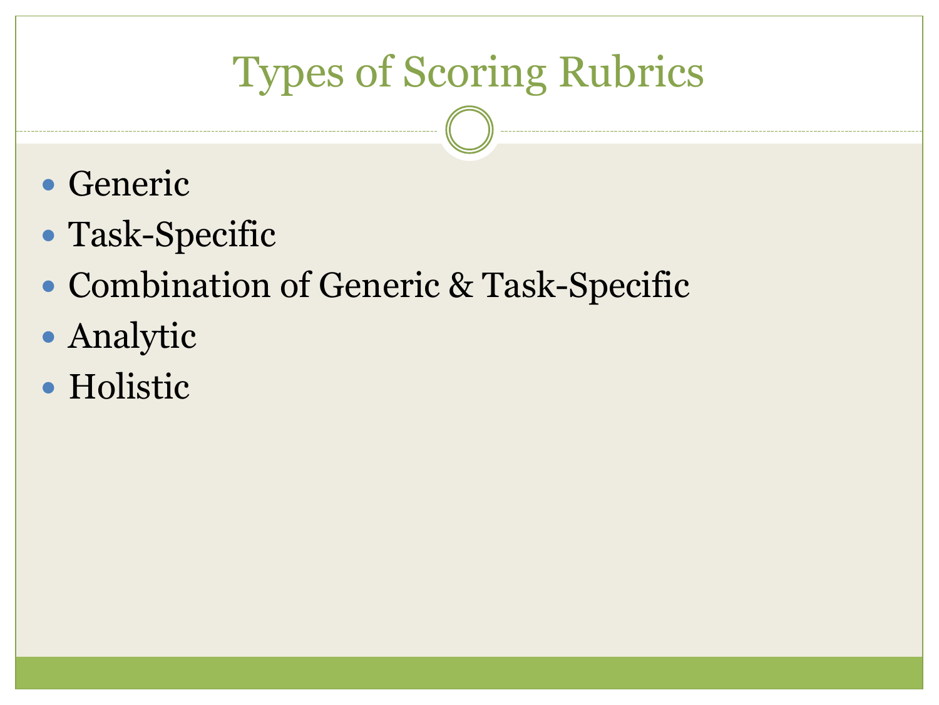# Types of Scoring Rubrics

- Generic
- Task-Specific
- Combination of Generic & Task-Specific
- Analytic
- Holistic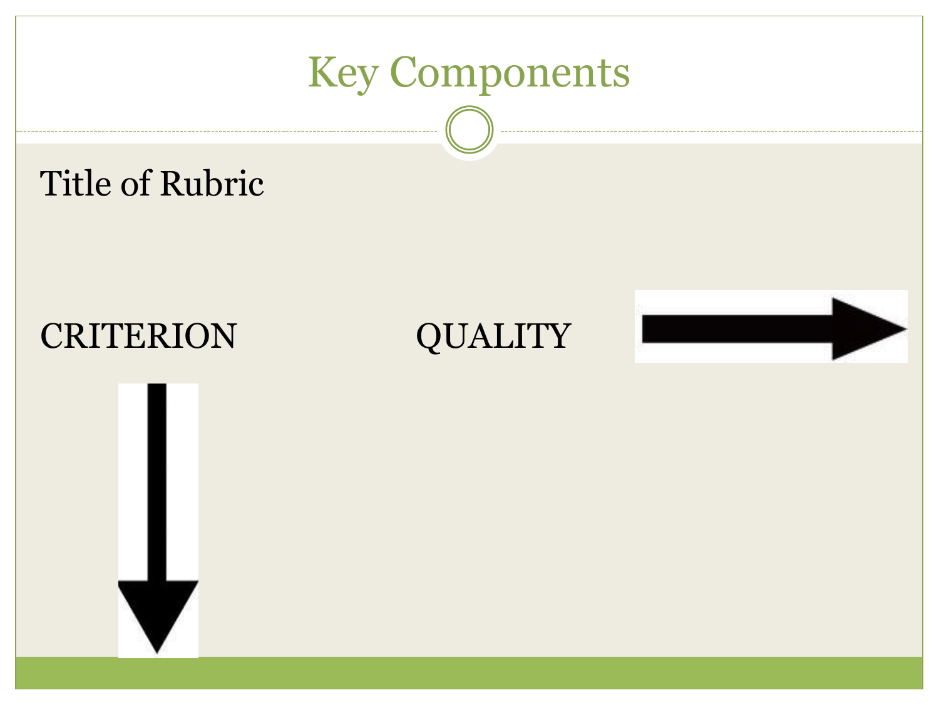# Key Components

## Title of Rubric

## CRITERION QUALITY





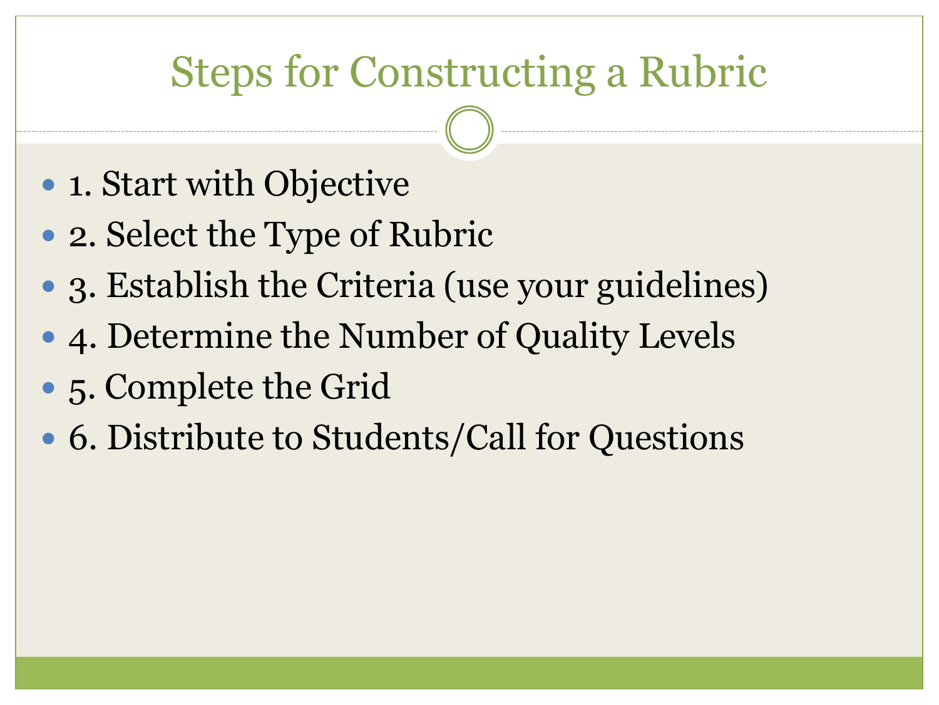# Steps for Constructing a Rubric

- 1. Start with Objective
- 2. Select the Type of Rubric
- 3. Establish the Criteria (use your guidelines)
- 4. Determine the Number of Quality Levels
- 5. Complete the Grid
- 6. Distribute to Students/Call for Questions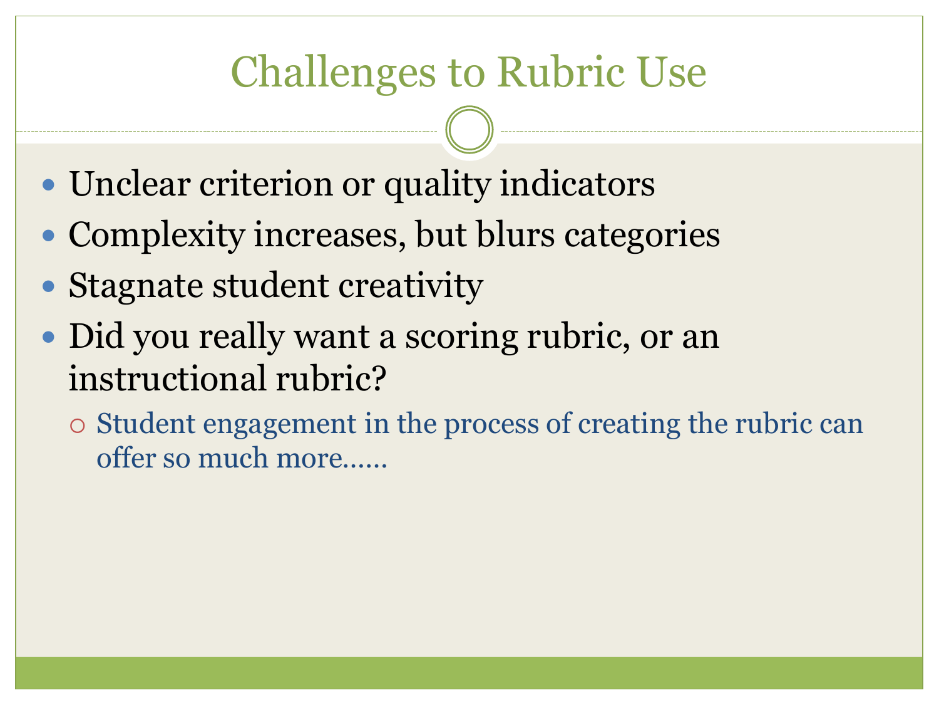# Challenges to Rubric Use

- Unclear criterion or quality indicators
- Complexity increases, but blurs categories
- Stagnate student creativity
- Did you really want a scoring rubric, or an instructional rubric?
	- Student engagement in the process of creating the rubric can offer so much more……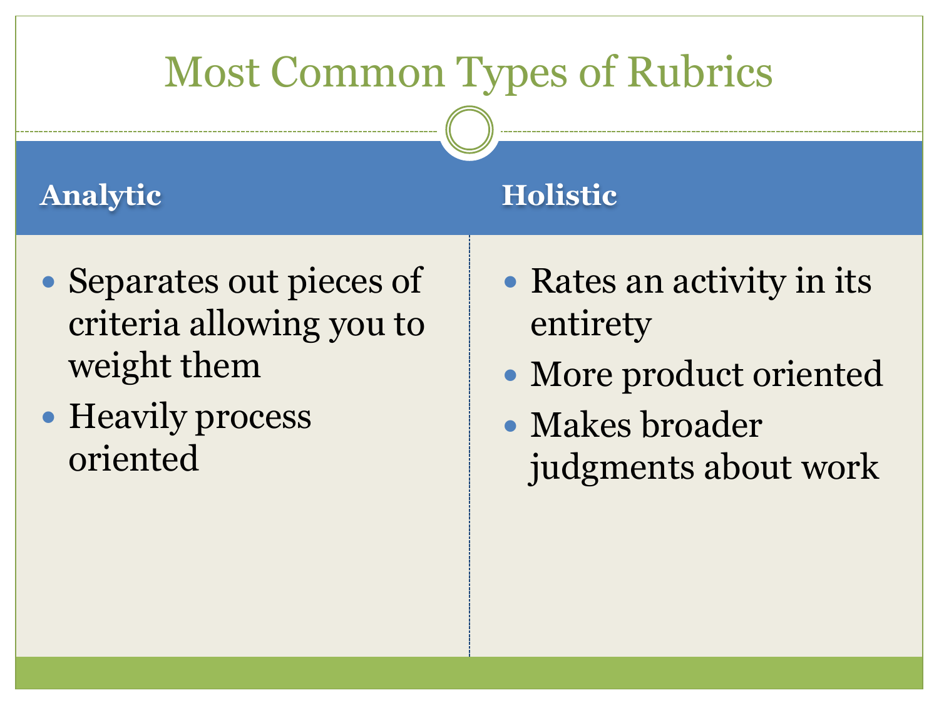# Most Common Types of Rubrics

### **Analytic Holistic**

- Separates out pieces of criteria allowing you to weight them
- Heavily process oriented
- Rates an activity in its entirety
- More product oriented
- Makes broader judgments about work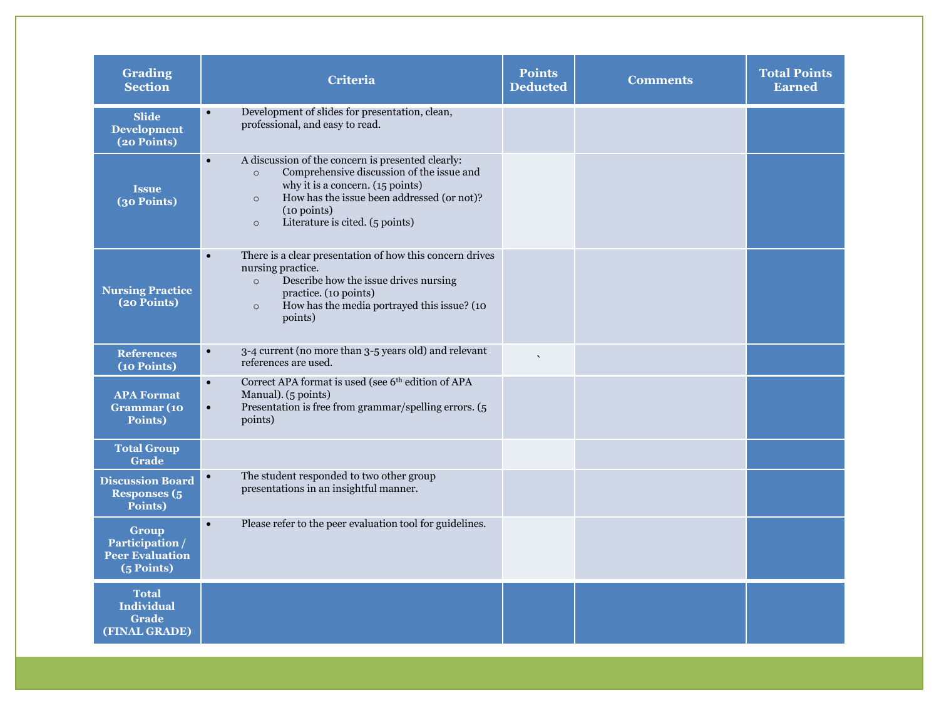| <b>Grading</b><br><b>Section</b>                                   | Criteria                                                                                                                                                                                                                                                                         | <b>Points</b><br><b>Deducted</b> | <b>Comments</b> | <b>Total Points</b><br><b>Earned</b> |
|--------------------------------------------------------------------|----------------------------------------------------------------------------------------------------------------------------------------------------------------------------------------------------------------------------------------------------------------------------------|----------------------------------|-----------------|--------------------------------------|
| <b>Slide</b><br><b>Development</b><br>(20 Points)                  | Development of slides for presentation, clean,<br>$\bullet$<br>professional, and easy to read.                                                                                                                                                                                   |                                  |                 |                                      |
| <b>Issue</b><br>(30 Points)                                        | A discussion of the concern is presented clearly:<br>$\bullet$<br>Comprehensive discussion of the issue and<br>$\circ$<br>why it is a concern. (15 points)<br>How has the issue been addressed (or not)?<br>$\circ$<br>(10 points)<br>Literature is cited. (5 points)<br>$\circ$ |                                  |                 |                                      |
| <b>Nursing Practice</b><br>(20 Points)                             | There is a clear presentation of how this concern drives<br>$\bullet$<br>nursing practice.<br>Describe how the issue drives nursing<br>$\circ$<br>practice. (10 points)<br>How has the media portrayed this issue? (10<br>$\circ$<br>points)                                     |                                  |                 |                                      |
| <b>References</b><br>(10 Points)                                   | 3-4 current (no more than 3-5 years old) and relevant<br>$\bullet$<br>references are used.                                                                                                                                                                                       | $\overline{\phantom{a}}$         |                 |                                      |
| <b>APA Format</b><br>Grammar (10<br>Points)                        | Correct APA format is used (see 6th edition of APA<br>$\bullet$<br>Manual). (5 points)<br>Presentation is free from grammar/spelling errors. (5<br>$\bullet$<br>points)                                                                                                          |                                  |                 |                                      |
| <b>Total Group</b><br><b>Grade</b>                                 |                                                                                                                                                                                                                                                                                  |                                  |                 |                                      |
| <b>Discussion Board</b><br><b>Responses (5)</b><br>Points)         | The student responded to two other group<br>$\bullet$<br>presentations in an insightful manner.                                                                                                                                                                                  |                                  |                 |                                      |
| Group<br>Participation /<br><b>Peer Evaluation</b><br>(5 Points)   | $\bullet$<br>Please refer to the peer evaluation tool for guidelines.                                                                                                                                                                                                            |                                  |                 |                                      |
| <b>Total</b><br><b>Individual</b><br><b>Grade</b><br>(FINAL GRADE) |                                                                                                                                                                                                                                                                                  |                                  |                 |                                      |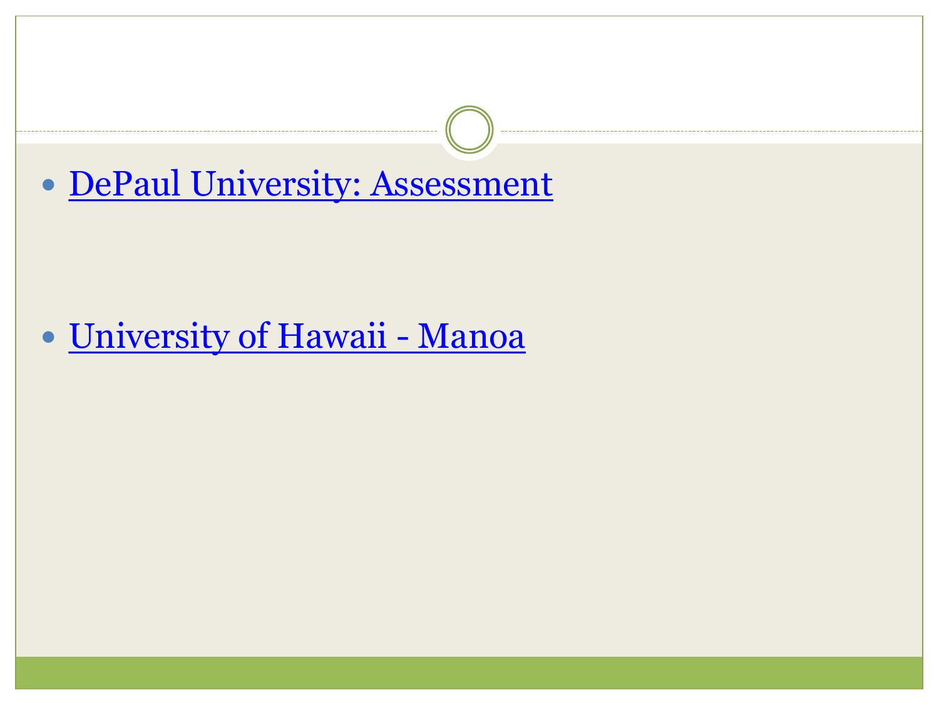## [DePaul University: Assessment](http://condor.depaul.edu/tla/Assessment/TypesRubrics.html)

## [University of Hawaii -](http://manoa.hawaii.edu/assessment/howto/rubrics.htm) [Manoa](http://manoa.hawaii.edu/assessment/howto/rubrics.htm)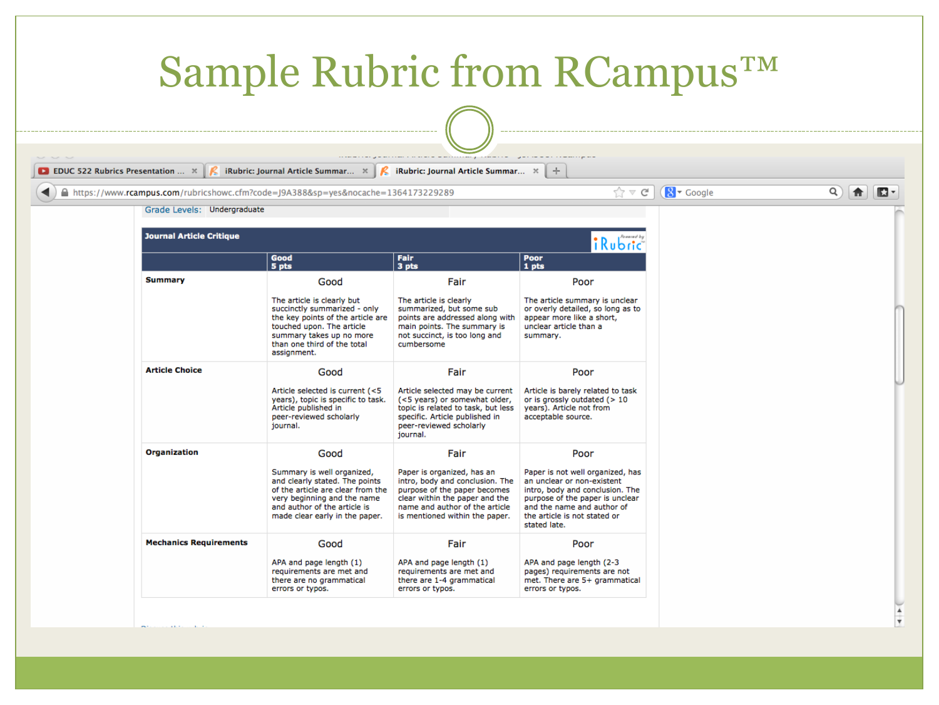| $\sim$ $\sim$ $\sim$ | <b>D</b> EDUC 522 Rubrics Presentation  X                                                   | iRubric: Journal Article Summar                                                                                                                                                                            | iRubric: Journal Article Summar X                                                                                                                                                                           |                                                                                                                                                                                                                            |              |                           |
|----------------------|---------------------------------------------------------------------------------------------|------------------------------------------------------------------------------------------------------------------------------------------------------------------------------------------------------------|-------------------------------------------------------------------------------------------------------------------------------------------------------------------------------------------------------------|----------------------------------------------------------------------------------------------------------------------------------------------------------------------------------------------------------------------------|--------------|---------------------------|
| ◀                    | △ https://www. <b>rcampus.com</b> /rubricshowc.cfm?code=J9A388&sp=yes&nocache=1364173229289 |                                                                                                                                                                                                            |                                                                                                                                                                                                             | $\mathbb{T}^3 \triangleleft \mathbb{G}$                                                                                                                                                                                    | $8 - Google$ | $\mathsf{Q}$<br>ID -<br>介 |
|                      | Grade Levels: Undergraduate                                                                 |                                                                                                                                                                                                            |                                                                                                                                                                                                             |                                                                                                                                                                                                                            |              |                           |
|                      | <b>Journal Article Critique</b>                                                             |                                                                                                                                                                                                            |                                                                                                                                                                                                             | iRubric                                                                                                                                                                                                                    |              |                           |
|                      |                                                                                             | Good<br>5 pts                                                                                                                                                                                              | <b>Fair</b><br>3 pts                                                                                                                                                                                        | Poor<br>1 pts                                                                                                                                                                                                              |              |                           |
|                      | <b>Summary</b>                                                                              | Good                                                                                                                                                                                                       | Fair                                                                                                                                                                                                        | Poor                                                                                                                                                                                                                       |              |                           |
|                      |                                                                                             | The article is clearly but<br>succinctly summarized - only<br>the key points of the article are<br>touched upon. The article<br>summary takes up no more<br>than one third of the total<br>assignment.     | The article is clearly<br>summarized, but some sub<br>points are addressed along with<br>main points. The summary is<br>not succinct, is too long and<br>cumbersome                                         | The article summary is unclear<br>or overly detailed, so long as to<br>appear more like a short,<br>unclear article than a<br>summary.                                                                                     |              |                           |
|                      | <b>Article Choice</b>                                                                       | Good<br>Article selected is current (<5<br>years), topic is specific to task.<br>Article published in<br>peer-reviewed scholarly<br>journal.                                                               | Fair<br>Article selected may be current<br>(<5 years) or somewhat older,<br>topic is related to task, but less<br>specific. Article published in<br>peer-reviewed scholarly<br>journal.                     | Poor<br>Article is barely related to task<br>or is grossly outdated (> 10<br>years). Article not from<br>acceptable source.                                                                                                |              |                           |
|                      | <b>Organization</b>                                                                         | Good<br>Summary is well organized,<br>and clearly stated. The points<br>of the article are clear from the<br>very beginning and the name<br>and author of the article is<br>made clear early in the paper. | Fair<br>Paper is organized, has an<br>intro, body and conclusion. The<br>purpose of the paper becomes<br>clear within the paper and the<br>name and author of the article<br>is mentioned within the paper. | Poor<br>Paper is not well organized, has<br>an unclear or non-existent<br>intro, body and conclusion. The<br>purpose of the paper is unclear<br>and the name and author of<br>the article is not stated or<br>stated late. |              |                           |
|                      | <b>Mechanics Requirements</b>                                                               | Good<br>APA and page length (1)<br>requirements are met and<br>there are no grammatical<br>errors or typos.                                                                                                | Fair<br>APA and page length (1)<br>requirements are met and<br>there are 1-4 grammatical<br>errors or typos.                                                                                                | Poor<br>APA and page length (2-3)<br>pages) requirements are not<br>met. There are 5+ grammatical<br>errors or typos.                                                                                                      |              |                           |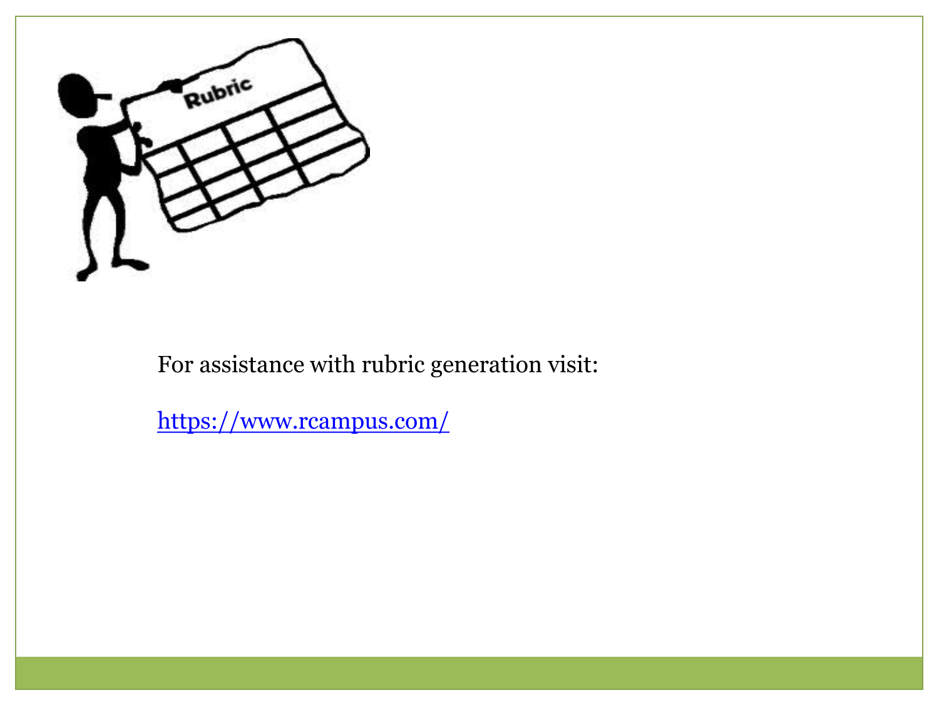

For assistance with rubric generation visit:

<https://www.rcampus.com/>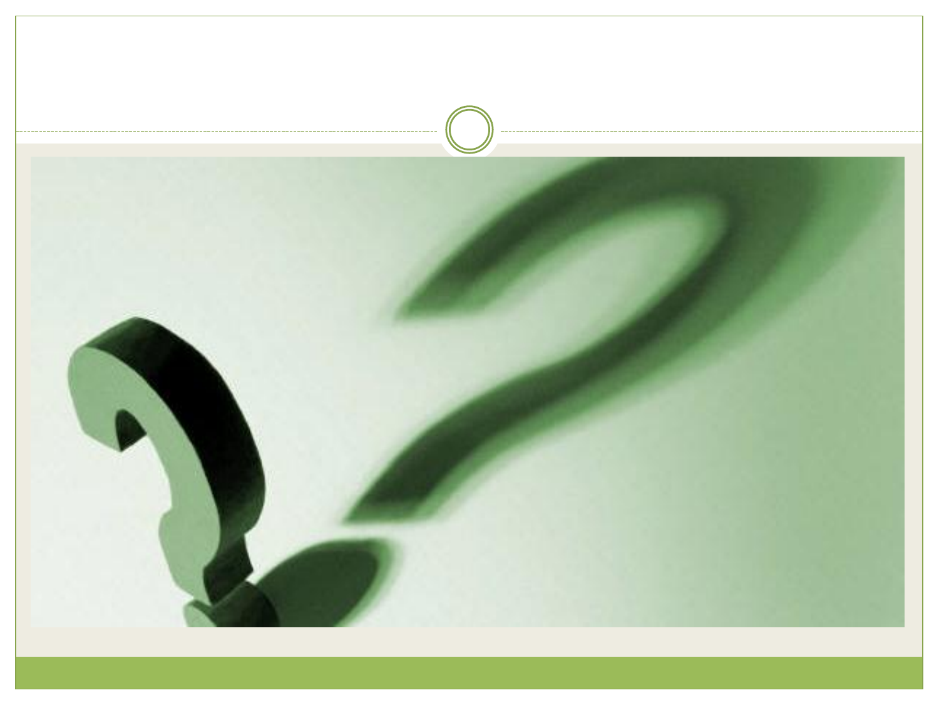